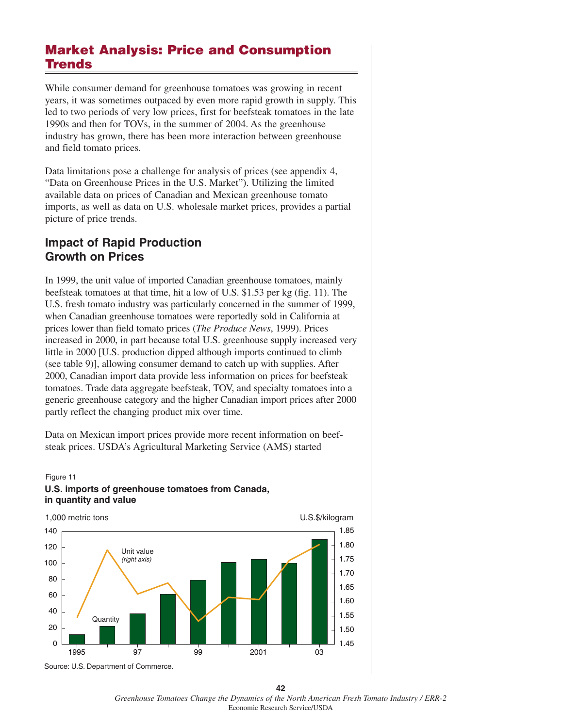# **Market Analysis: Price and Consumption Trends**

While consumer demand for greenhouse tomatoes was growing in recent years, it was sometimes outpaced by even more rapid growth in supply. This led to two periods of very low prices, first for beefsteak tomatoes in the late 1990s and then for TOVs, in the summer of 2004. As the greenhouse industry has grown, there has been more interaction between greenhouse and field tomato prices.

Data limitations pose a challenge for analysis of prices (see appendix 4, "Data on Greenhouse Prices in the U.S. Market"). Utilizing the limited available data on prices of Canadian and Mexican greenhouse tomato imports, as well as data on U.S. wholesale market prices, provides a partial picture of price trends.

## **Impact of Rapid Production Growth on Prices**

In 1999, the unit value of imported Canadian greenhouse tomatoes, mainly beefsteak tomatoes at that time, hit a low of U.S. \$1.53 per kg (fig. 11). The U.S. fresh tomato industry was particularly concerned in the summer of 1999, when Canadian greenhouse tomatoes were reportedly sold in California at prices lower than field tomato prices (*The Produce News*, 1999). Prices increased in 2000, in part because total U.S. greenhouse supply increased very little in 2000 [U.S. production dipped although imports continued to climb (see table 9)], allowing consumer demand to catch up with supplies. After 2000, Canadian import data provide less information on prices for beefsteak tomatoes. Trade data aggregate beefsteak, TOV, and specialty tomatoes into a generic greenhouse category and the higher Canadian import prices after 2000 partly reflect the changing product mix over time.

Data on Mexican import prices provide more recent information on beefsteak prices. USDA's Agricultural Marketing Service (AMS) started

### Figure 11 **U.S. imports of greenhouse tomatoes from Canada, in quantity and value**



Source: U.S. Department of Commerce.

**42** *Greenhouse Tomatoes Change the Dynamics of the North American Fresh Tomato Industry / ERR-2* Economic Research Service/USDA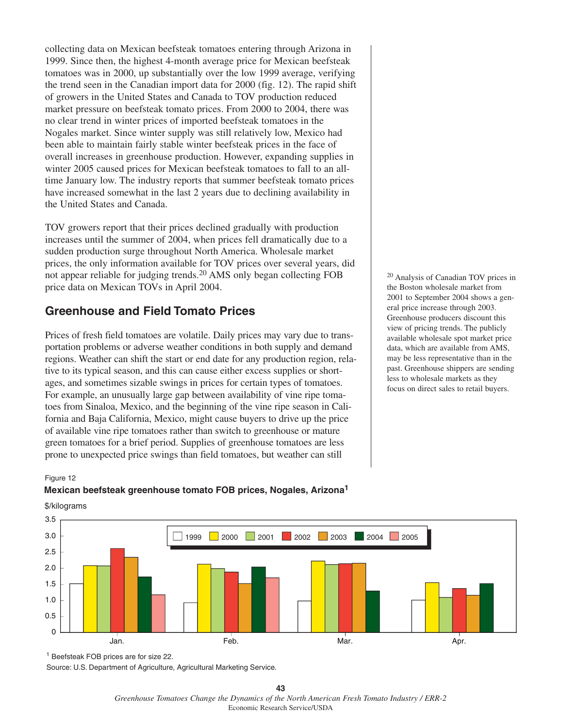collecting data on Mexican beefsteak tomatoes entering through Arizona in 1999. Since then, the highest 4-month average price for Mexican beefsteak tomatoes was in 2000, up substantially over the low 1999 average, verifying the trend seen in the Canadian import data for 2000 (fig. 12). The rapid shift of growers in the United States and Canada to TOV production reduced market pressure on beefsteak tomato prices. From 2000 to 2004, there was no clear trend in winter prices of imported beefsteak tomatoes in the Nogales market. Since winter supply was still relatively low, Mexico had been able to maintain fairly stable winter beefsteak prices in the face of overall increases in greenhouse production. However, expanding supplies in winter 2005 caused prices for Mexican beefsteak tomatoes to fall to an alltime January low. The industry reports that summer beefsteak tomato prices have increased somewhat in the last 2 years due to declining availability in the United States and Canada.

TOV growers report that their prices declined gradually with production increases until the summer of 2004, when prices fell dramatically due to a sudden production surge throughout North America. Wholesale market prices, the only information available for TOV prices over several years, did not appear reliable for judging trends.<sup>20</sup> AMS only began collecting FOB price data on Mexican TOVs in April 2004.

# **Greenhouse and Field Tomato Prices**

Prices of fresh field tomatoes are volatile. Daily prices may vary due to transportation problems or adverse weather conditions in both supply and demand regions. Weather can shift the start or end date for any production region, relative to its typical season, and this can cause either excess supplies or shortages, and sometimes sizable swings in prices for certain types of tomatoes. For example, an unusually large gap between availability of vine ripe tomatoes from Sinaloa, Mexico, and the beginning of the vine ripe season in California and Baja California, Mexico, might cause buyers to drive up the price of available vine ripe tomatoes rather than switch to greenhouse or mature green tomatoes for a brief period. Supplies of greenhouse tomatoes are less prone to unexpected price swings than field tomatoes, but weather can still

<sup>20</sup> Analysis of Canadian TOV prices in the Boston wholesale market from 2001 to September 2004 shows a general price increase through 2003. Greenhouse producers discount this view of pricing trends. The publicly available wholesale spot market price data, which are available from AMS, may be less representative than in the past. Greenhouse shippers are sending less to wholesale markets as they focus on direct sales to retail buyers.

### Figure 12

### **Mexican beefsteak greenhouse tomato FOB prices, Nogales, Arizona1**



## \$/kilograms

1 Beefsteak FOB prices are for size 22.

Source: U.S. Department of Agriculture, Agricultural Marketing Service.

**<sup>43</sup>** *Greenhouse Tomatoes Change the Dynamics of the North American Fresh Tomato Industry / ERR-2* Economic Research Service/USDA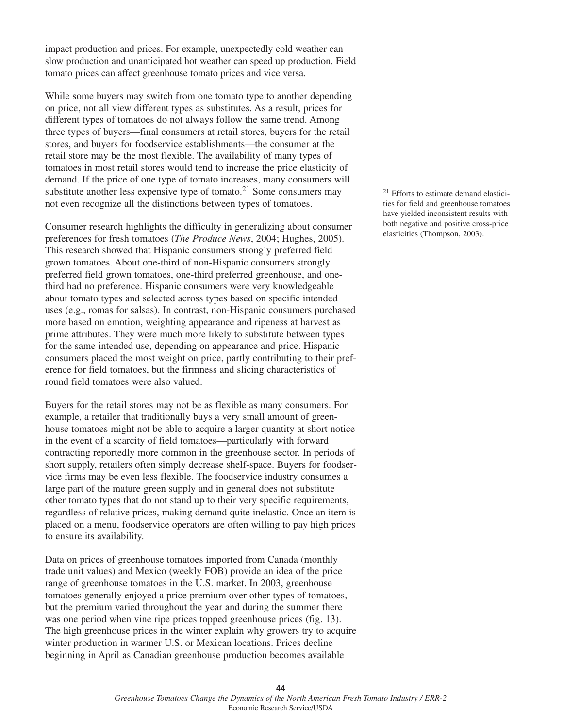impact production and prices. For example, unexpectedly cold weather can slow production and unanticipated hot weather can speed up production. Field tomato prices can affect greenhouse tomato prices and vice versa.

While some buyers may switch from one tomato type to another depending on price, not all view different types as substitutes. As a result, prices for different types of tomatoes do not always follow the same trend. Among three types of buyers—final consumers at retail stores, buyers for the retail stores, and buyers for foodservice establishments—the consumer at the retail store may be the most flexible. The availability of many types of tomatoes in most retail stores would tend to increase the price elasticity of demand. If the price of one type of tomato increases, many consumers will substitute another less expensive type of tomato.<sup>21</sup> Some consumers may not even recognize all the distinctions between types of tomatoes.

Consumer research highlights the difficulty in generalizing about consumer preferences for fresh tomatoes (*The Produce News*, 2004; Hughes, 2005). This research showed that Hispanic consumers strongly preferred field grown tomatoes. About one-third of non-Hispanic consumers strongly preferred field grown tomatoes, one-third preferred greenhouse, and onethird had no preference. Hispanic consumers were very knowledgeable about tomato types and selected across types based on specific intended uses (e.g., romas for salsas). In contrast, non-Hispanic consumers purchased more based on emotion, weighting appearance and ripeness at harvest as prime attributes. They were much more likely to substitute between types for the same intended use, depending on appearance and price. Hispanic consumers placed the most weight on price, partly contributing to their preference for field tomatoes, but the firmness and slicing characteristics of round field tomatoes were also valued.

Buyers for the retail stores may not be as flexible as many consumers. For example, a retailer that traditionally buys a very small amount of greenhouse tomatoes might not be able to acquire a larger quantity at short notice in the event of a scarcity of field tomatoes—particularly with forward contracting reportedly more common in the greenhouse sector. In periods of short supply, retailers often simply decrease shelf-space. Buyers for foodservice firms may be even less flexible. The foodservice industry consumes a large part of the mature green supply and in general does not substitute other tomato types that do not stand up to their very specific requirements, regardless of relative prices, making demand quite inelastic. Once an item is placed on a menu, foodservice operators are often willing to pay high prices to ensure its availability.

Data on prices of greenhouse tomatoes imported from Canada (monthly trade unit values) and Mexico (weekly FOB) provide an idea of the price range of greenhouse tomatoes in the U.S. market. In 2003, greenhouse tomatoes generally enjoyed a price premium over other types of tomatoes, but the premium varied throughout the year and during the summer there was one period when vine ripe prices topped greenhouse prices (fig. 13). The high greenhouse prices in the winter explain why growers try to acquire winter production in warmer U.S. or Mexican locations. Prices decline beginning in April as Canadian greenhouse production becomes available

<sup>21</sup> Efforts to estimate demand elasticities for field and greenhouse tomatoes have yielded inconsistent results with both negative and positive cross-price elasticities (Thompson, 2003).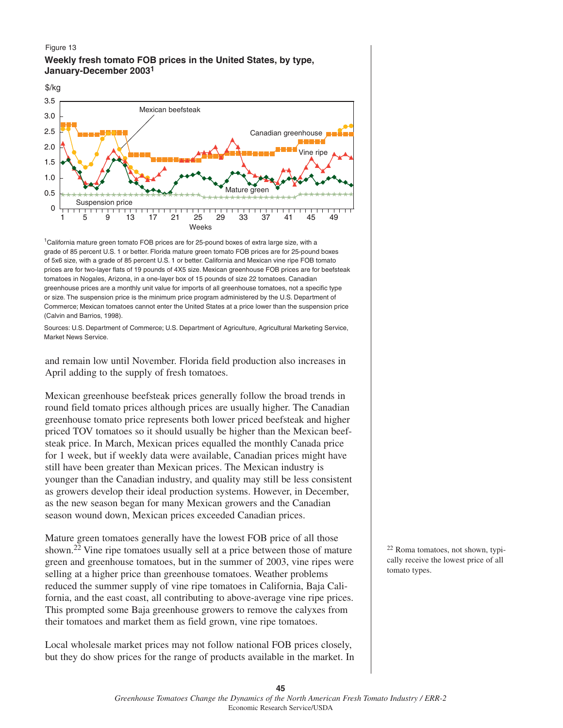#### Figure 13

## **Weekly fresh tomato FOB prices in the United States, by type, January-December 2003<sup>1</sup>**



<sup>1</sup>California mature green tomato FOB prices are for 25-pound boxes of extra large size, with a grade of 85 percent U.S. 1 or better. Florida mature green tomato FOB prices are for 25-pound boxes of 5x6 size, with a grade of 85 percent U.S. 1 or better. California and Mexican vine ripe FOB tomato prices are for two-layer flats of 19 pounds of 4X5 size. Mexican greenhouse FOB prices are for beefsteak tomatoes in Nogales, Arizona, in a one-layer box of 15 pounds of size 22 tomatoes. Canadian greenhouse prices are a monthly unit value for imports of all greenhouse tomatoes, not a specific type or size. The suspension price is the minimum price program administered by the U.S. Department of Commerce; Mexican tomatoes cannot enter the United States at a price lower than the suspension price (Calvin and Barrios, 1998).

Sources: U.S. Department of Commerce; U.S. Department of Agriculture, Agricultural Marketing Service, Market News Service.

and remain low until November. Florida field production also increases in April adding to the supply of fresh tomatoes.

Mexican greenhouse beefsteak prices generally follow the broad trends in round field tomato prices although prices are usually higher. The Canadian greenhouse tomato price represents both lower priced beefsteak and higher priced TOV tomatoes so it should usually be higher than the Mexican beefsteak price. In March, Mexican prices equalled the monthly Canada price for 1 week, but if weekly data were available, Canadian prices might have still have been greater than Mexican prices. The Mexican industry is younger than the Canadian industry, and quality may still be less consistent as growers develop their ideal production systems. However, in December, as the new season began for many Mexican growers and the Canadian season wound down, Mexican prices exceeded Canadian prices.

Mature green tomatoes generally have the lowest FOB price of all those shown.22 Vine ripe tomatoes usually sell at a price between those of mature green and greenhouse tomatoes, but in the summer of 2003, vine ripes were selling at a higher price than greenhouse tomatoes. Weather problems reduced the summer supply of vine ripe tomatoes in California, Baja California, and the east coast, all contributing to above-average vine ripe prices. This prompted some Baja greenhouse growers to remove the calyxes from their tomatoes and market them as field grown, vine ripe tomatoes.

Local wholesale market prices may not follow national FOB prices closely, but they do show prices for the range of products available in the market. In <sup>22</sup> Roma tomatoes, not shown, typically receive the lowest price of all tomato types.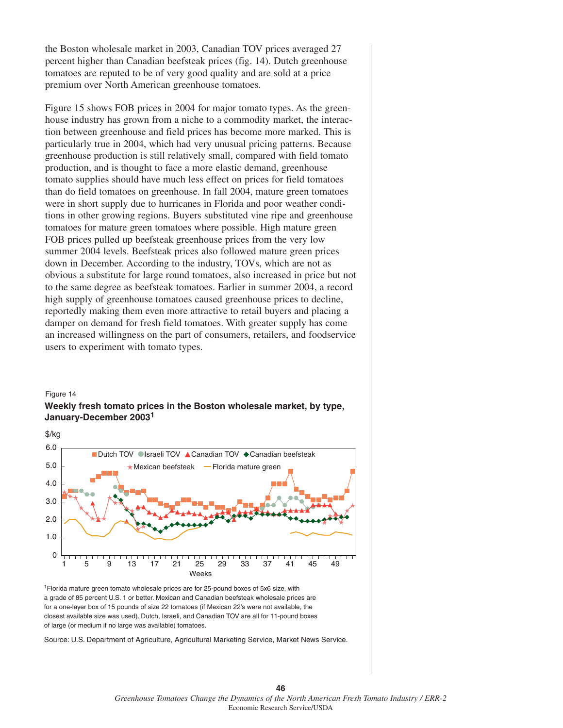the Boston wholesale market in 2003, Canadian TOV prices averaged 27 percent higher than Canadian beefsteak prices (fig. 14). Dutch greenhouse tomatoes are reputed to be of very good quality and are sold at a price premium over North American greenhouse tomatoes.

Figure 15 shows FOB prices in 2004 for major tomato types. As the greenhouse industry has grown from a niche to a commodity market, the interaction between greenhouse and field prices has become more marked. This is particularly true in 2004, which had very unusual pricing patterns. Because greenhouse production is still relatively small, compared with field tomato production, and is thought to face a more elastic demand, greenhouse tomato supplies should have much less effect on prices for field tomatoes than do field tomatoes on greenhouse. In fall 2004, mature green tomatoes were in short supply due to hurricanes in Florida and poor weather conditions in other growing regions. Buyers substituted vine ripe and greenhouse tomatoes for mature green tomatoes where possible. High mature green FOB prices pulled up beefsteak greenhouse prices from the very low summer 2004 levels. Beefsteak prices also followed mature green prices down in December. According to the industry, TOVs, which are not as obvious a substitute for large round tomatoes, also increased in price but not to the same degree as beefsteak tomatoes. Earlier in summer 2004, a record high supply of greenhouse tomatoes caused greenhouse prices to decline, reportedly making them even more attractive to retail buyers and placing a damper on demand for fresh field tomatoes. With greater supply has come an increased willingness on the part of consumers, retailers, and foodservice users to experiment with tomato types.

### Figure 14

#### **Weekly fresh tomato prices in the Boston wholesale market, by type, January-December 2003<sup>1</sup>**



1Florida mature green tomato wholesale prices are for 25-pound boxes of 5x6 size, with a grade of 85 percent U.S. 1 or better. Mexican and Canadian beefsteak wholesale prices are for a one-layer box of 15 pounds of size 22 tomatoes (if Mexican 22's were not available, the closest available size was used). Dutch, Israeli, and Canadian TOV are all for 11-pound boxes of large (or medium if no large was available) tomatoes.

Source: U.S. Department of Agriculture, Agricultural Marketing Service, Market News Service.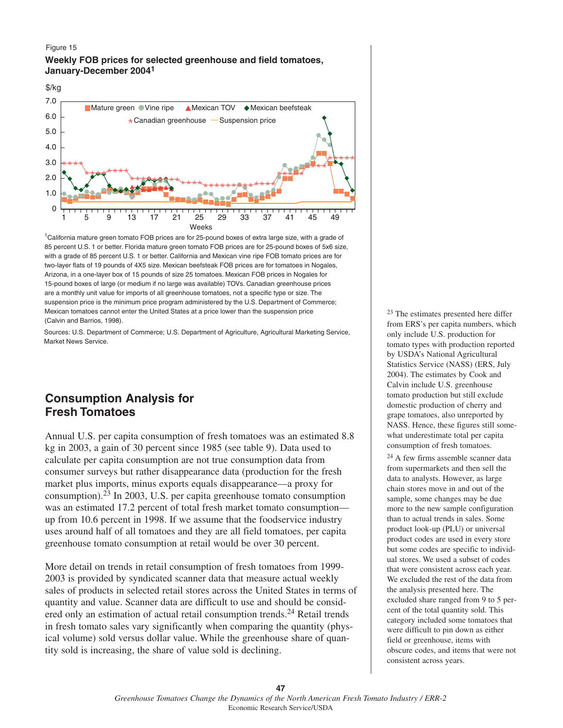#### Figure 15

## **Weekly FOB prices for selected greenhouse and field tomatoes, January-December 2004<sup>1</sup>**



1California mature green tomato FOB prices are for 25-pound boxes of extra large size, with a grade of 85 percent U.S. 1 or better. Florida mature green tomato FOB prices are for 25-pound boxes of 5x6 size, with a grade of 85 percent U.S. 1 or better. California and Mexican vine ripe FOB tomato prices are for two-layer flats of 19 pounds of 4X5 size. Mexican beefsteak FOB prices are for tomatoes in Nogales, Arizona, in a one-layer box of 15 pounds of size 25 tomatoes. Mexican FOB prices in Nogales for 15-pound boxes of large (or medium if no large was available) TOVs. Canadian greenhouse prices are a monthly unit value for imports of all greenhouse tomatoes, not a specific type or size. The suspension price is the minimum price program administered by the U.S. Department of Commerce; Mexican tomatoes cannot enter the United States at a price lower than the suspension price (Calvin and Barrios, 1998).

Sources: U.S. Department of Commerce; U.S. Department of Agriculture, Agricultural Marketing Service, Market News Service.

## **Consumption Analysis for Fresh Tomatoes**

Annual U.S. per capita consumption of fresh tomatoes was an estimated 8.8 kg in 2003, a gain of 30 percent since 1985 (see table 9). Data used to calculate per capita consumption are not true consumption data from consumer surveys but rather disappearance data (production for the fresh market plus imports, minus exports equals disappearance—a proxy for consumption).<sup>23</sup> In 2003, U.S. per capita greenhouse tomato consumption was an estimated 17.2 percent of total fresh market tomato consumption up from 10.6 percent in 1998. If we assume that the foodservice industry uses around half of all tomatoes and they are all field tomatoes, per capita greenhouse tomato consumption at retail would be over 30 percent.

More detail on trends in retail consumption of fresh tomatoes from 1999- 2003 is provided by syndicated scanner data that measure actual weekly sales of products in selected retail stores across the United States in terms of quantity and value. Scanner data are difficult to use and should be considered only an estimation of actual retail consumption trends.<sup>24</sup> Retail trends in fresh tomato sales vary significantly when comparing the quantity (physical volume) sold versus dollar value. While the greenhouse share of quantity sold is increasing, the share of value sold is declining.

<sup>23</sup> The estimates presented here differ from ERS's per capita numbers, which only include U.S. production for tomato types with production reported by USDA's National Agricultural Statistics Service (NASS) (ERS, July 2004). The estimates by Cook and Calvin include U.S. greenhouse tomato production but still exclude domestic production of cherry and grape tomatoes, also unreported by NASS. Hence, these figures still somewhat underestimate total per capita consumption of fresh tomatoes.

<sup>24</sup> A few firms assemble scanner data from supermarkets and then sell the data to analysts. However, as large chain stores move in and out of the sample, some changes may be due more to the new sample configuration than to actual trends in sales. Some product look-up (PLU) or universal product codes are used in every store but some codes are specific to individual stores. We used a subset of codes that were consistent across each year. We excluded the rest of the data from the analysis presented here. The excluded share ranged from 9 to 5 percent of the total quantity sold. This category included some tomatoes that were difficult to pin down as either field or greenhouse, items with obscure codes, and items that were not consistent across years.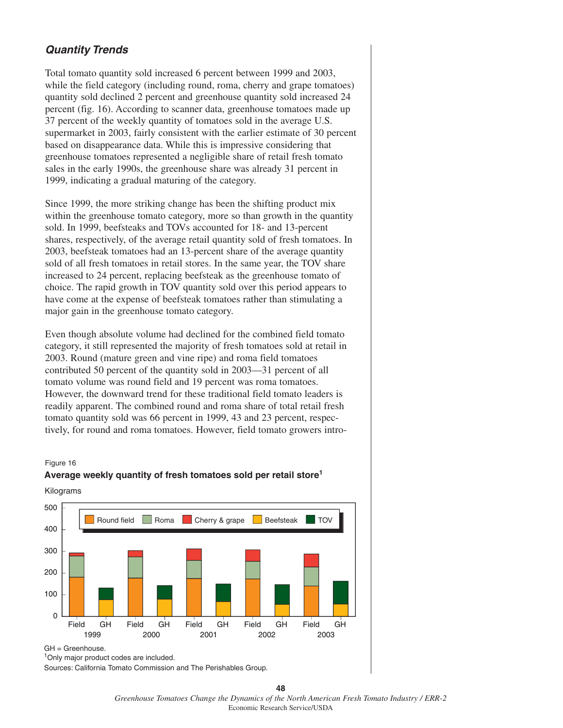## **Quantity Trends**

Total tomato quantity sold increased 6 percent between 1999 and 2003, while the field category (including round, roma, cherry and grape tomatoes) quantity sold declined 2 percent and greenhouse quantity sold increased 24 percent (fig. 16). According to scanner data, greenhouse tomatoes made up 37 percent of the weekly quantity of tomatoes sold in the average U.S. supermarket in 2003, fairly consistent with the earlier estimate of 30 percent based on disappearance data. While this is impressive considering that greenhouse tomatoes represented a negligible share of retail fresh tomato sales in the early 1990s, the greenhouse share was already 31 percent in 1999, indicating a gradual maturing of the category.

Since 1999, the more striking change has been the shifting product mix within the greenhouse tomato category, more so than growth in the quantity sold. In 1999, beefsteaks and TOVs accounted for 18- and 13-percent shares, respectively, of the average retail quantity sold of fresh tomatoes. In 2003, beefsteak tomatoes had an 13-percent share of the average quantity sold of all fresh tomatoes in retail stores. In the same year, the TOV share increased to 24 percent, replacing beefsteak as the greenhouse tomato of choice. The rapid growth in TOV quantity sold over this period appears to have come at the expense of beefsteak tomatoes rather than stimulating a major gain in the greenhouse tomato category.

Even though absolute volume had declined for the combined field tomato category, it still represented the majority of fresh tomatoes sold at retail in 2003. Round (mature green and vine ripe) and roma field tomatoes contributed 50 percent of the quantity sold in 2003—31 percent of all tomato volume was round field and 19 percent was roma tomatoes. However, the downward trend for these traditional field tomato leaders is readily apparent. The combined round and roma share of total retail fresh tomato quantity sold was 66 percent in 1999, 43 and 23 percent, respectively, for round and roma tomatoes. However, field tomato growers intro-

#### Figure 16

# **Average weekly quantity of fresh tomatoes sold per retail store1**



## Kilograms

Sources: California Tomato Commission and The Perishables Group.

<sup>&</sup>lt;sup>1</sup>Only major product codes are included.

**<sup>48</sup>** *Greenhouse Tomatoes Change the Dynamics of the North American Fresh Tomato Industry / ERR-2* Economic Research Service/USDA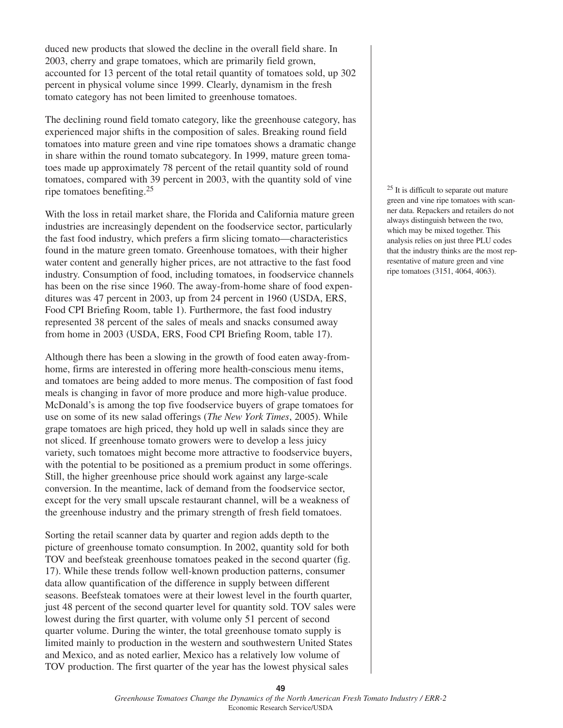duced new products that slowed the decline in the overall field share. In 2003, cherry and grape tomatoes, which are primarily field grown, accounted for 13 percent of the total retail quantity of tomatoes sold, up 302 percent in physical volume since 1999. Clearly, dynamism in the fresh tomato category has not been limited to greenhouse tomatoes.

The declining round field tomato category, like the greenhouse category, has experienced major shifts in the composition of sales. Breaking round field tomatoes into mature green and vine ripe tomatoes shows a dramatic change in share within the round tomato subcategory. In 1999, mature green tomatoes made up approximately 78 percent of the retail quantity sold of round tomatoes, compared with 39 percent in 2003, with the quantity sold of vine ripe tomatoes benefiting.<sup>25</sup>

With the loss in retail market share, the Florida and California mature green industries are increasingly dependent on the foodservice sector, particularly the fast food industry, which prefers a firm slicing tomato—characteristics found in the mature green tomato. Greenhouse tomatoes, with their higher water content and generally higher prices, are not attractive to the fast food industry. Consumption of food, including tomatoes, in foodservice channels has been on the rise since 1960. The away-from-home share of food expenditures was 47 percent in 2003, up from 24 percent in 1960 (USDA, ERS, Food CPI Briefing Room, table 1). Furthermore, the fast food industry represented 38 percent of the sales of meals and snacks consumed away from home in 2003 (USDA, ERS, Food CPI Briefing Room, table 17).

Although there has been a slowing in the growth of food eaten away-fromhome, firms are interested in offering more health-conscious menu items, and tomatoes are being added to more menus. The composition of fast food meals is changing in favor of more produce and more high-value produce. McDonald's is among the top five foodservice buyers of grape tomatoes for use on some of its new salad offerings (*The New York Times*, 2005). While grape tomatoes are high priced, they hold up well in salads since they are not sliced. If greenhouse tomato growers were to develop a less juicy variety, such tomatoes might become more attractive to foodservice buyers, with the potential to be positioned as a premium product in some offerings. Still, the higher greenhouse price should work against any large-scale conversion. In the meantime, lack of demand from the foodservice sector, except for the very small upscale restaurant channel, will be a weakness of the greenhouse industry and the primary strength of fresh field tomatoes.

Sorting the retail scanner data by quarter and region adds depth to the picture of greenhouse tomato consumption. In 2002, quantity sold for both TOV and beefsteak greenhouse tomatoes peaked in the second quarter (fig. 17). While these trends follow well-known production patterns, consumer data allow quantification of the difference in supply between different seasons. Beefsteak tomatoes were at their lowest level in the fourth quarter, just 48 percent of the second quarter level for quantity sold. TOV sales were lowest during the first quarter, with volume only 51 percent of second quarter volume. During the winter, the total greenhouse tomato supply is limited mainly to production in the western and southwestern United States and Mexico, and as noted earlier, Mexico has a relatively low volume of TOV production. The first quarter of the year has the lowest physical sales

<sup>25</sup> It is difficult to separate out mature green and vine ripe tomatoes with scanner data. Repackers and retailers do not always distinguish between the two, which may be mixed together. This analysis relies on just three PLU codes that the industry thinks are the most representative of mature green and vine ripe tomatoes (3151, 4064, 4063).

**49**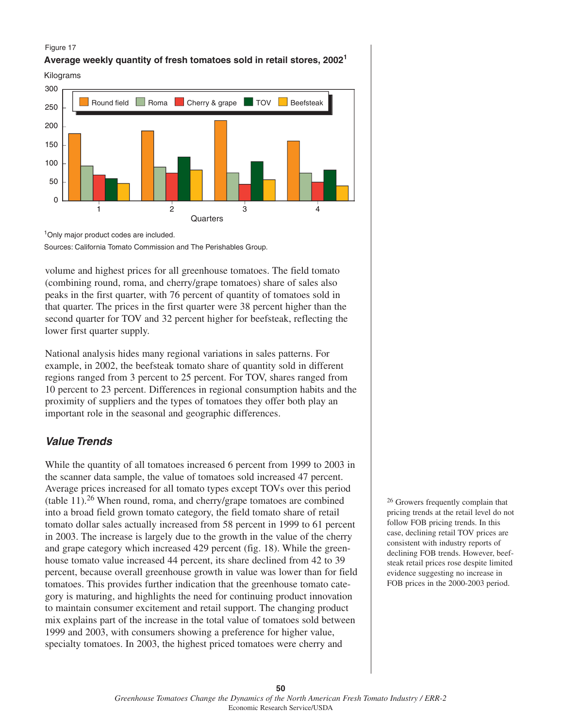#### Figure 17





<sup>1</sup>Only major product codes are included.

Sources: California Tomato Commission and The Perishables Group.

volume and highest prices for all greenhouse tomatoes. The field tomato (combining round, roma, and cherry/grape tomatoes) share of sales also peaks in the first quarter, with 76 percent of quantity of tomatoes sold in that quarter. The prices in the first quarter were 38 percent higher than the second quarter for TOV and 32 percent higher for beefsteak, reflecting the lower first quarter supply.

National analysis hides many regional variations in sales patterns. For example, in 2002, the beefsteak tomato share of quantity sold in different regions ranged from 3 percent to 25 percent. For TOV, shares ranged from 10 percent to 23 percent. Differences in regional consumption habits and the proximity of suppliers and the types of tomatoes they offer both play an important role in the seasonal and geographic differences.

## **Value Trends**

While the quantity of all tomatoes increased 6 percent from 1999 to 2003 in the scanner data sample, the value of tomatoes sold increased 47 percent. Average prices increased for all tomato types except TOVs over this period (table  $11$ ).<sup>26</sup> When round, roma, and cherry/grape tomatoes are combined into a broad field grown tomato category, the field tomato share of retail tomato dollar sales actually increased from 58 percent in 1999 to 61 percent in 2003. The increase is largely due to the growth in the value of the cherry and grape category which increased 429 percent (fig. 18). While the greenhouse tomato value increased 44 percent, its share declined from 42 to 39 percent, because overall greenhouse growth in value was lower than for field tomatoes. This provides further indication that the greenhouse tomato category is maturing, and highlights the need for continuing product innovation to maintain consumer excitement and retail support. The changing product mix explains part of the increase in the total value of tomatoes sold between 1999 and 2003, with consumers showing a preference for higher value, specialty tomatoes. In 2003, the highest priced tomatoes were cherry and

<sup>26</sup> Growers frequently complain that pricing trends at the retail level do not follow FOB pricing trends. In this case, declining retail TOV prices are consistent with industry reports of declining FOB trends. However, beefsteak retail prices rose despite limited evidence suggesting no increase in FOB prices in the 2000-2003 period.